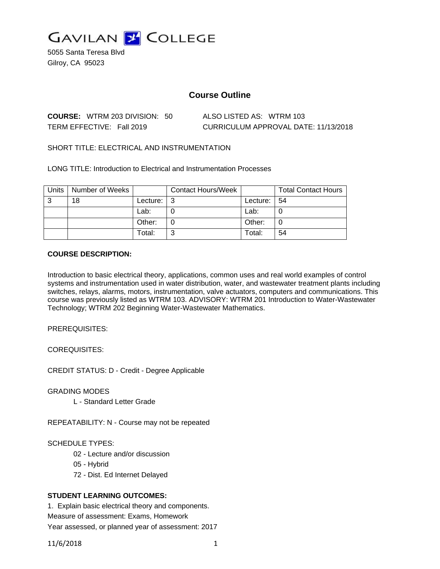

5055 Santa Teresa Blvd Gilroy, CA 95023

# **Course Outline**

| <b>COURSE:</b> WTRM 203 DIVISION: 50 | ALSO LISTED AS: WTRM 103             |
|--------------------------------------|--------------------------------------|
| TERM EFFECTIVE: Fall 2019            | CURRICULUM APPROVAL DATE: 11/13/2018 |

SHORT TITLE: ELECTRICAL AND INSTRUMENTATION

LONG TITLE: Introduction to Electrical and Instrumentation Processes

| Units | Number of Weeks |          | <b>Contact Hours/Week</b> |          | <b>Total Contact Hours</b> |
|-------|-----------------|----------|---------------------------|----------|----------------------------|
| 3     | 18              | Lecture: | l 3                       | Lecture: | -54                        |
|       |                 | Lab:     |                           | Lab:     |                            |
|       |                 | Other:   |                           | Other:   |                            |
|       |                 | Total:   | ົ                         | Total:   | 54                         |

### **COURSE DESCRIPTION:**

Introduction to basic electrical theory, applications, common uses and real world examples of control systems and instrumentation used in water distribution, water, and wastewater treatment plants including switches, relays, alarms, motors, instrumentation, valve actuators, computers and communications. This course was previously listed as WTRM 103. ADVISORY: WTRM 201 Introduction to Water-Wastewater Technology; WTRM 202 Beginning Water-Wastewater Mathematics.

PREREQUISITES:

COREQUISITES:

CREDIT STATUS: D - Credit - Degree Applicable

GRADING MODES

L - Standard Letter Grade

REPEATABILITY: N - Course may not be repeated

# SCHEDULE TYPES:

- 02 Lecture and/or discussion
- 05 Hybrid
- 72 Dist. Ed Internet Delayed

# **STUDENT LEARNING OUTCOMES:**

1. Explain basic electrical theory and components. Measure of assessment: Exams, Homework Year assessed, or planned year of assessment: 2017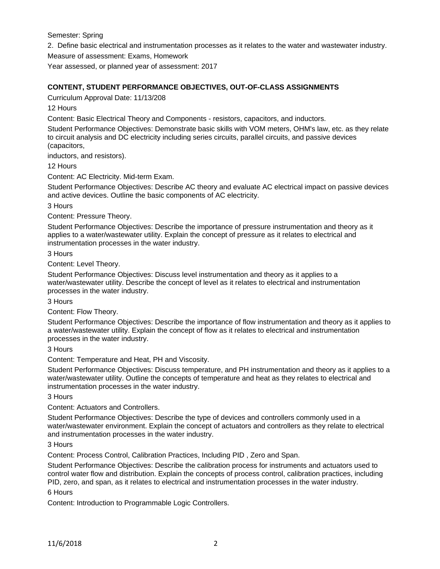Semester: Spring

2. Define basic electrical and instrumentation processes as it relates to the water and wastewater industry.

Measure of assessment: Exams, Homework

Year assessed, or planned year of assessment: 2017

### **CONTENT, STUDENT PERFORMANCE OBJECTIVES, OUT-OF-CLASS ASSIGNMENTS**

Curriculum Approval Date: 11/13/208

12 Hours

Content: Basic Electrical Theory and Components - resistors, capacitors, and inductors.

Student Performance Objectives: Demonstrate basic skills with VOM meters, OHM's law, etc. as they relate to circuit analysis and DC electricity including series circuits, parallel circuits, and passive devices (capacitors,

inductors, and resistors).

12 Hours

Content: AC Electricity. Mid-term Exam.

Student Performance Objectives: Describe AC theory and evaluate AC electrical impact on passive devices and active devices. Outline the basic components of AC electricity.

3 Hours

Content: Pressure Theory.

Student Performance Objectives: Describe the importance of pressure instrumentation and theory as it applies to a water/wastewater utility. Explain the concept of pressure as it relates to electrical and instrumentation processes in the water industry.

#### 3 Hours

Content: Level Theory.

Student Performance Objectives: Discuss level instrumentation and theory as it applies to a water/wastewater utility. Describe the concept of level as it relates to electrical and instrumentation processes in the water industry.

3 Hours

Content: Flow Theory.

Student Performance Objectives: Describe the importance of flow instrumentation and theory as it applies to a water/wastewater utility. Explain the concept of flow as it relates to electrical and instrumentation processes in the water industry.

#### 3 Hours

Content: Temperature and Heat, PH and Viscosity.

Student Performance Objectives: Discuss temperature, and PH instrumentation and theory as it applies to a water/wastewater utility. Outline the concepts of temperature and heat as they relates to electrical and instrumentation processes in the water industry.

### 3 Hours

Content: Actuators and Controllers.

Student Performance Objectives: Describe the type of devices and controllers commonly used in a water/wastewater environment. Explain the concept of actuators and controllers as they relate to electrical and instrumentation processes in the water industry.

3 Hours

Content: Process Control, Calibration Practices, Including PID , Zero and Span.

Student Performance Objectives: Describe the calibration process for instruments and actuators used to control water flow and distribution. Explain the concepts of process control, calibration practices, including PID, zero, and span, as it relates to electrical and instrumentation processes in the water industry.

6 Hours

Content: Introduction to Programmable Logic Controllers.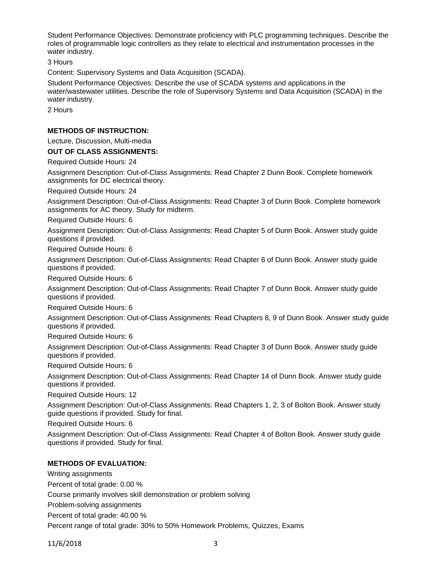Student Performance Objectives: Demonstrate proficiency with PLC programming techniques. Describe the roles of programmable logic controllers as they relate to electrical and instrumentation processes in the water industry.

3 Hours

Content: Supervisory Systems and Data Acquisition (SCADA).

Student Performance Objectives: Describe the use of SCADA systems and applications in the water/wastewater utilities. Describe the role of Supervisory Systems and Data Acquisition (SCADA) in the water industry.

2 Hours

#### **METHODS OF INSTRUCTION:**

Lecture, Discussion, Multi-media

### **OUT OF CLASS ASSIGNMENTS:**

Required Outside Hours: 24

Assignment Description: Out-of-Class Assignments: Read Chapter 2 Dunn Book. Complete homework assignments for DC electrical theory.

Required Outside Hours: 24

Assignment Description: Out-of-Class Assignments: Read Chapter 3 of Dunn Book. Complete homework assignments for AC theory. Study for midterm.

Required Outside Hours: 6

Assignment Description: Out-of-Class Assignments: Read Chapter 5 of Dunn Book. Answer study guide questions if provided.

Required Outside Hours: 6

Assignment Description: Out-of-Class Assignments: Read Chapter 6 of Dunn Book. Answer study guide questions if provided.

Required Outside Hours: 6

Assignment Description: Out-of-Class Assignments: Read Chapter 7 of Dunn Book. Answer study guide questions if provided.

Required Outside Hours: 6

Assignment Description: Out-of-Class Assignments: Read Chapters 8, 9 of Dunn Book. Answer study guide questions if provided.

Required Outside Hours: 6

Assignment Description: Out-of-Class Assignments: Read Chapter 3 of Dunn Book. Answer study guide questions if provided.

Required Outside Hours: 6

Assignment Description: Out-of-Class Assignments: Read Chapter 14 of Dunn Book. Answer study guide questions if provided.

Required Outside Hours: 12

Assignment Description: Out-of-Class Assignments: Read Chapters 1, 2, 3 of Bolton Book. Answer study guide questions if provided. Study for final.

Required Outside Hours: 6

Assignment Description: Out-of-Class Assignments: Read Chapter 4 of Bolton Book. Answer study guide questions if provided. Study for final.

# **METHODS OF EVALUATION:**

Writing assignments

Percent of total grade: 0.00 %

Course primarily involves skill demonstration or problem solving

Problem-solving assignments

Percent of total grade: 40.00 %

Percent range of total grade: 30% to 50% Homework Problems, Quizzes, Exams

11/6/2018 3